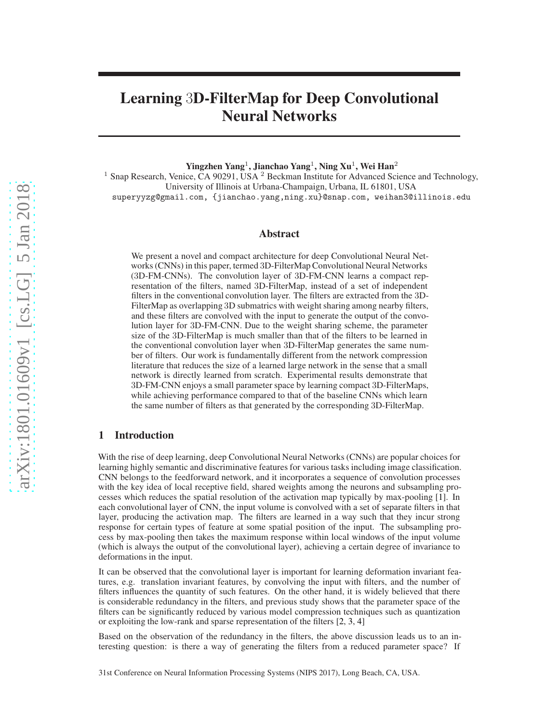# Learning 3D-FilterMap for Deep Convolutional Neural Networks

Yingzhen Yang $^1$ , Jianchao Yang $^1$ , Ning Xu $^1$ , Wei Han $^2$ 

<sup>1</sup> Snap Research, Venice, CA 90291, USA  $^2$  Beckman Institute for Advanced Science and Technology, University of Illinois at Urbana-Champaign, Urbana, IL 61801, USA superyyzg@gmail.com, {jianchao.yang,ning.xu}@snap.com, weihan3@illinois.edu

#### Abstract

We present a novel and compact architecture for deep Convolutional Neural Networks (CNNs) in this paper, termed 3D-FilterMap Convolutional Neural Networks (3D-FM-CNNs). The convolution layer of 3D-FM-CNN learns a compact representation of the filters, named 3D-FilterMap, instead of a set of independent filters in the conventional convolution layer. The filters are extracted from the 3D-FilterMap as overlapping 3D submatrics with weight sharing among nearby filters, and these filters are convolved with the input to generate the output of the convolution layer for 3D-FM-CNN. Due to the weight sharing scheme, the parameter size of the 3D-FilterMap is much smaller than that of the filters to be learned in the conventional convolution layer when 3D-FilterMap generates the same number of filters. Our work is fundamentally different from the network compression literature that reduces the size of a learned large network in the sense that a small network is directly learned from scratch. Experimental results demonstrate that 3D-FM-CNN enjoys a small parameter space by learning compact 3D-FilterMaps, while achieving performance compared to that of the baseline CNNs which learn the same number of filters as that generated by the corresponding 3D-FilterMap.

### 1 Introduction

With the rise of deep learning, deep Convolutional Neural Networks (CNNs) are popular choices for learning highly semantic and discriminative features for various tasks including image classification. CNN belongs to the feedforward network, and it incorporates a sequence of convolution processes with the key idea of local receptive field, shared weights among the neurons and subsampling processes which reduces the spatial resolution of the activation map typically by max-pooling [\[1](#page-4-0)]. In each convolutional layer of CNN, the input volume is convolved with a set of separate filters in that layer, producing the activation map. The filters are learned in a way such that they incur strong response for certain types of feature at some spatial position of the input. The subsampling process by max-pooling then takes the maximum response within local windows of the input volume (which is always the output of the convolutional layer), achieving a certain degree of invariance to deformations in the input.

It can be observed that the convolutional layer is important for learning deformation invariant features, e.g. translation invariant features, by convolving the input with filters, and the number of filters influences the quantity of such features. On the other hand, it is widely believed that there is considerable redundancy in the filters, and previous study shows that the parameter space of the filters can be significantly reduced by various model compression techniques such as quantization or exploiting the low-rank and sparse representation of the filters [\[2,](#page-4-1) [3,](#page-4-2) [4](#page-4-3)]

Based on the observation of the redundancy in the filters, the above discussion leads us to an interesting question: is there a way of generating the filters from a reduced parameter space? If

31st Conference on Neural Information Processing Systems (NIPS 2017), Long Beach, CA, USA.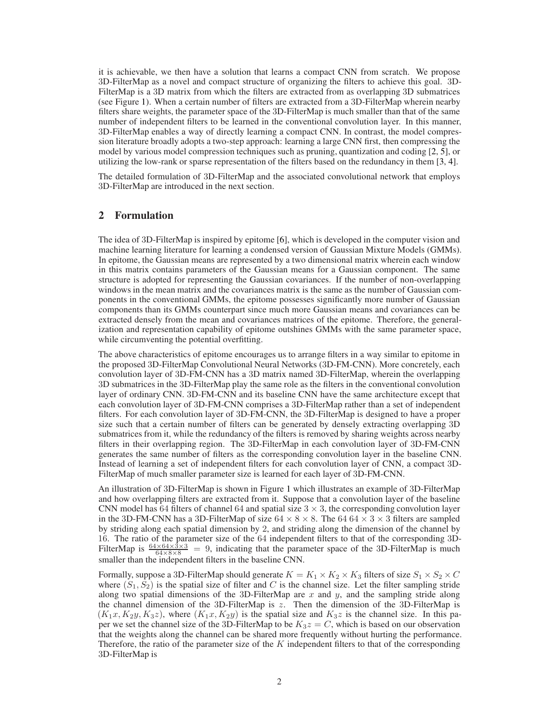it is achievable, we then have a solution that learns a compact CNN from scratch. We propose 3D-FilterMap as a novel and compact structure of organizing the filters to achieve this goal. 3D-FilterMap is a 3D matrix from which the filters are extracted from as overlapping 3D submatrices (see Figure [1\)](#page-3-0). When a certain number of filters are extracted from a 3D-FilterMap wherein nearby filters share weights, the parameter space of the 3D-FilterMap is much smaller than that of the same number of independent filters to be learned in the conventional convolution layer. In this manner, 3D-FilterMap enables a way of directly learning a compact CNN. In contrast, the model compression literature broadly adopts a two-step approach: learning a large CNN first, then compressing the model by various model compression techniques such as pruning, quantization and coding [\[2,](#page-4-1) [5\]](#page-4-4), or utilizing the low-rank or sparse representation of the filters based on the redundancy in them [\[3](#page-4-2), [4](#page-4-3)].

The detailed formulation of 3D-FilterMap and the associated convolutional network that employs 3D-FilterMap are introduced in the next section.

## 2 Formulation

The idea of 3D-FilterMap is inspired by epitome [\[6\]](#page-4-5), which is developed in the computer vision and machine learning literature for learning a condensed version of Gaussian Mixture Models (GMMs). In epitome, the Gaussian means are represented by a two dimensional matrix wherein each window in this matrix contains parameters of the Gaussian means for a Gaussian component. The same structure is adopted for representing the Gaussian covariances. If the number of non-overlapping windows in the mean matrix and the covariances matrix is the same as the number of Gaussian components in the conventional GMMs, the epitome possesses significantly more number of Gaussian components than its GMMs counterpart since much more Gaussian means and covariances can be extracted densely from the mean and covariances matrices of the epitome. Therefore, the generalization and representation capability of epitome outshines GMMs with the same parameter space, while circumventing the potential overfitting.

The above characteristics of epitome encourages us to arrange filters in a way similar to epitome in the proposed 3D-FilterMap Convolutional Neural Networks (3D-FM-CNN). More concretely, each convolution layer of 3D-FM-CNN has a 3D matrix named 3D-FilterMap, wherein the overlapping 3D submatrices in the 3D-FilterMap play the same role as the filters in the conventional convolution layer of ordinary CNN. 3D-FM-CNN and its baseline CNN have the same architecture except that each convolution layer of 3D-FM-CNN comprises a 3D-FilterMap rather than a set of independent filters. For each convolution layer of 3D-FM-CNN, the 3D-FilterMap is designed to have a proper size such that a certain number of filters can be generated by densely extracting overlapping 3D submatrices from it, while the redundancy of the filters is removed by sharing weights across nearby filters in their overlapping region. The 3D-FilterMap in each convolution layer of 3D-FM-CNN generates the same number of filters as the corresponding convolution layer in the baseline CNN. Instead of learning a set of independent filters for each convolution layer of CNN, a compact 3D-FilterMap of much smaller parameter size is learned for each layer of 3D-FM-CNN.

An illustration of 3D-FilterMap is shown in Figure [1](#page-3-0) which illustrates an example of 3D-FilterMap and how overlapping filters are extracted from it. Suppose that a convolution layer of the baseline CNN model has 64 filters of channel 64 and spatial size  $3 \times 3$ , the corresponding convolution layer in the 3D-FM-CNN has a 3D-FilterMap of size  $64 \times 8 \times 8$ . The  $64\,64 \times 3 \times 3$  filters are sampled by striding along each spatial dimension by 2, and striding along the dimension of the channel by 16. The ratio of the parameter size of the 64 independent filters to that of the corresponding 3D-FilterMap is  $\frac{64\times64\times3\times3}{64\times8\times8}$  = 9, indicating that the parameter space of the 3D-FilterMap is much smaller than the independent filters in the baseline CNN.

Formally, suppose a 3D-FilterMap should generate  $K = K_1 \times K_2 \times K_3$  filters of size  $S_1 \times S_2 \times C$ where  $(S_1, S_2)$  is the spatial size of filter and C is the channel size. Let the filter sampling stride along two spatial dimensions of the 3D-FilterMap are x and y, and the sampling stride along the channel dimension of the 3D-FilterMap is z. Then the dimension of the 3D-FilterMap is  $(K_1x, K_2y, K_3z)$ , where  $(K_1x, K_2y)$  is the spatial size and  $K_3z$  is the channel size. In this paper we set the channel size of the 3D-FilterMap to be  $K_3z = C$ , which is based on our observation that the weights along the channel can be shared more frequently without hurting the performance. Therefore, the ratio of the parameter size of the  $K$  independent filters to that of the corresponding 3D-FilterMap is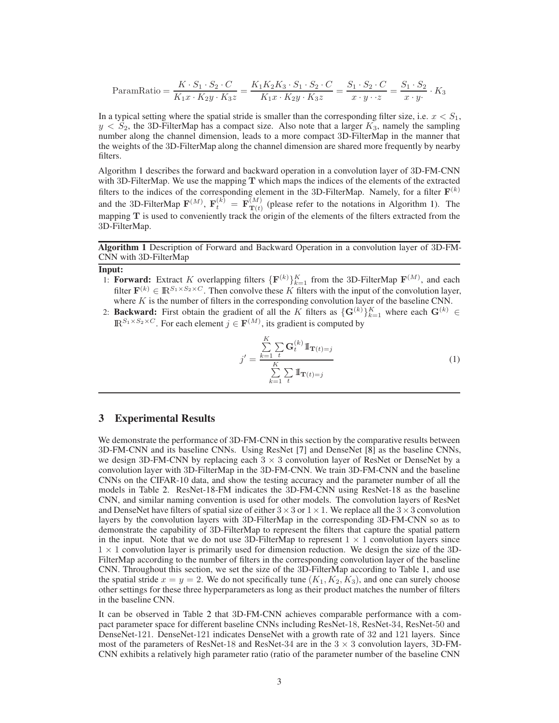ParamRatio = 
$$
\frac{K \cdot S_1 \cdot S_2 \cdot C}{K_1 x \cdot K_2 y \cdot K_3 z}
$$
 =  $\frac{K_1 K_2 K_3 \cdot S_1 \cdot S_2 \cdot C}{K_1 x \cdot K_2 y \cdot K_3 z}$  =  $\frac{S_1 \cdot S_2 \cdot C}{x \cdot y \cdot z}$  =  $\frac{S_1 \cdot S_2}{x \cdot y}$  ·  $K_3$ 

In a typical setting where the spatial stride is smaller than the corresponding filter size, i.e.  $x < S_1$ ,  $y < S_2$ , the 3D-FilterMap has a compact size. Also note that a larger  $K_3$ , namely the sampling number along the channel dimension, leads to a more compact 3D-FilterMap in the manner that the weights of the 3D-FilterMap along the channel dimension are shared more frequently by nearby filters.

Algorithm [1](#page-2-0) describes the forward and backward operation in a convolution layer of 3D-FM-CNN with 3D-FilterMap. We use the mapping  $T$  which maps the indices of the elements of the extracted filters to the indices of the corresponding element in the 3D-FilterMap. Namely, for a filter  $\mathbf{F}^{(k)}$ and the 3D-FilterMap  $\mathbf{F}^{(M)}$ ,  $\mathbf{F}^{(k)}_t = \mathbf{F}^{(M)}_{\mathbf{T}(t)}$  (please refer to the notations in Algorithm [1\)](#page-2-0). The mapping T is used to conveniently track the origin of the elements of the filters extracted from the 3D-FilterMap.

Algorithm 1 Description of Forward and Backward Operation in a convolution layer of 3D-FM-CNN with 3D-FilterMap

#### <span id="page-2-0"></span>Input:

- 1: **Forward:** Extract K overlapping filters  $\{F^{(k)}\}_{k=1}^K$  from the 3D-FilterMap  $F^{(M)}$ , and each filter  $\mathbf{F}^{(k)} \in \mathbb{R}^{S_1 \times S_2 \times C}$ . Then convolve these K filters with the input of the convolution layer, where  $K$  is the number of filters in the corresponding convolution layer of the baseline CNN.
- 2: **Backward:** First obtain the gradient of all the K filters as  $\{G^{(k)}\}_{k=1}^K$  where each  $G^{(k)} \in$  $\mathbb{R}^{S_1 \times S_2 \times C}$ . For each element  $j \in \mathbf{F}^{(M)}$ , its gradient is computed by

$$
j' = \frac{\sum_{k=1}^{K} \sum_{t} \mathbf{G}_t^{(k)} \mathbb{I}_{\mathbf{T}(t)=j}}{\sum_{k=1}^{K} \sum_{t} \mathbb{I}_{\mathbf{T}(t)=j}}
$$
(1)

## 3 Experimental Results

We demonstrate the performance of 3D-FM-CNN in this section by the comparative results between 3D-FM-CNN and its baseline CNNs. Using ResNet [\[7\]](#page-4-6) and DenseNet [\[8](#page-4-7)] as the baseline CNNs, we design 3D-FM-CNN by replacing each  $3 \times 3$  convolution layer of ResNet or DenseNet by a convolution layer with 3D-FilterMap in the 3D-FM-CNN. We train 3D-FM-CNN and the baseline CNNs on the CIFAR-10 data, and show the testing accuracy and the parameter number of all the models in Table [2.](#page-3-1) ResNet-18-FM indicates the 3D-FM-CNN using ResNet-18 as the baseline CNN, and similar naming convention is used for other models. The convolution layers of ResNet and DenseNet have filters of spatial size of either  $3 \times 3$  or  $1 \times 1$ . We replace all the  $3 \times 3$  convolution layers by the convolution layers with 3D-FilterMap in the corresponding 3D-FM-CNN so as to demonstrate the capability of 3D-FilterMap to represent the filters that capture the spatial pattern in the input. Note that we do not use 3D-FilterMap to represent  $1 \times 1$  convolution layers since  $1 \times 1$  convolution layer is primarily used for dimension reduction. We design the size of the 3D-FilterMap according to the number of filters in the corresponding convolution layer of the baseline CNN. Throughout this section, we set the size of the 3D-FilterMap according to Table [1,](#page-3-2) and use the spatial stride  $x = y = 2$ . We do not specifically tune  $(K_1, K_2, K_3)$ , and one can surely choose other settings for these three hyperparameters as long as their product matches the number of filters in the baseline CNN.

It can be observed in Table [2](#page-3-1) that 3D-FM-CNN achieves comparable performance with a compact parameter space for different baseline CNNs including ResNet-18, ResNet-34, ResNet-50 and DenseNet-121. DenseNet-121 indicates DenseNet with a growth rate of 32 and 121 layers. Since most of the parameters of ResNet-18 and ResNet-34 are in the  $3 \times 3$  convolution layers, 3D-FM-CNN exhibits a relatively high parameter ratio (ratio of the parameter number of the baseline CNN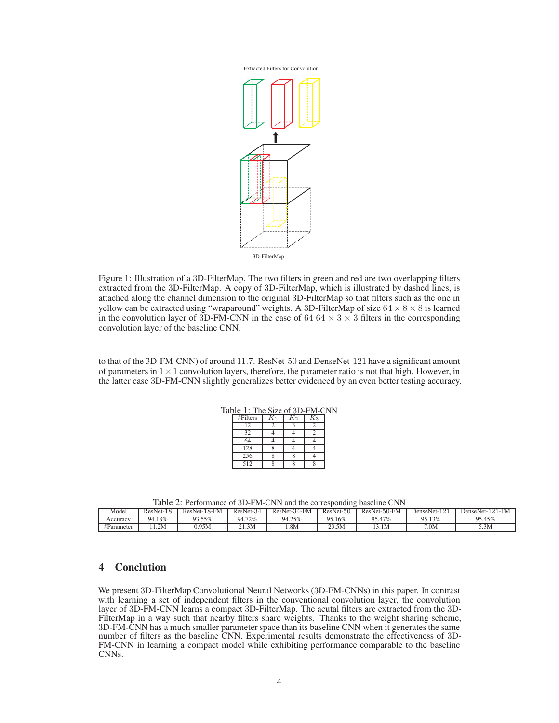

<span id="page-3-0"></span>Figure 1: Illustration of a 3D-FilterMap. The two filters in green and red are two overlapping filters extracted from the 3D-FilterMap. A copy of 3D-FilterMap, which is illustrated by dashed lines, is attached along the channel dimension to the original 3D-FilterMap so that filters such as the one in yellow can be extracted using "wraparound" weights. A 3D-FilterMap of size  $64 \times 8 \times 8$  is learned in the convolution layer of 3D-FM-CNN in the case of 64 64  $\times$  3  $\times$  3 filters in the corresponding convolution layer of the baseline CNN.

to that of the 3D-FM-CNN) of around 11.7. ResNet-50 and DenseNet-121 have a significant amount of parameters in  $1 \times 1$  convolution layers, therefore, the parameter ratio is not that high. However, in the latter case 3D-FM-CNN slightly generalizes better evidenced by an even better testing accuracy.

<span id="page-3-2"></span>

| Table 1: The Size of 3D-FM-CNN |           |       |    |    |  |  |  |  |
|--------------------------------|-----------|-------|----|----|--|--|--|--|
|                                | # Filters | $K_1$ | K2 | K3 |  |  |  |  |
|                                |           |       |    |    |  |  |  |  |
|                                | 32        |       |    |    |  |  |  |  |
|                                |           |       |    |    |  |  |  |  |
|                                | 128       |       |    |    |  |  |  |  |
|                                | 256       |       |    |    |  |  |  |  |
|                                | 512       |       |    |    |  |  |  |  |

<span id="page-3-1"></span>

|  | Table 2: Performance of 3D-FM-CNN and the corresponding baseline CNN |  |
|--|----------------------------------------------------------------------|--|
|  |                                                                      |  |

| AWOIV AT A VIIVIIINNIVV VI VIP I ITI OITIT MIN NIV VOIIVUUVIIIIE UMVVIIIIV OITIT |           |              |           |              |           |              |              |                 |  |  |
|----------------------------------------------------------------------------------|-----------|--------------|-----------|--------------|-----------|--------------|--------------|-----------------|--|--|
| Model                                                                            | ResNet-18 | ResNet-18-FM | ResNet-34 | ResNet-34-FM | ResNet-50 | ResNet-50-FM | DenseNet-121 | DenseNet-121-FM |  |  |
| Accuracy                                                                         | 94.18%    | 93.55%       | 94.72%    | 94.25%       | 95.16%    | 95.47%       | 95.13%       | 95.45%          |  |  |
| #Parameter                                                                       | 1.2M      | 0.95M        | 21.3M     | .8M          | 23.5M     | 3.1M         | 7.0M         | 5.3M            |  |  |

## 4 Conclution

We present 3D-FilterMap Convolutional Neural Networks (3D-FM-CNNs) in this paper. In contrast with learning a set of independent filters in the conventional convolution layer, the convolution layer of 3D-FM-CNN learns a compact 3D-FilterMap. The acutal filters are extracted from the 3D-FilterMap in a way such that nearby filters share weights. Thanks to the weight sharing scheme, 3D-FM-CNN has a much smaller parameter space than its baseline CNN when it generates the same number of filters as the baseline CNN. Experimental results demonstrate the effectiveness of 3D-FM-CNN in learning a compact model while exhibiting performance comparable to the baseline CNNs.